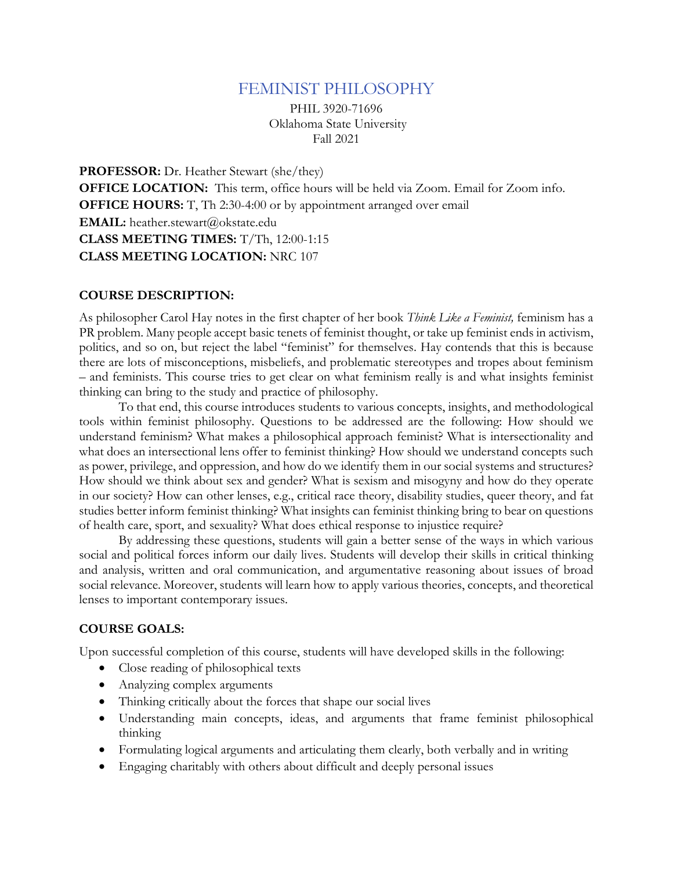# FEMINIST PHILOSOPHY

PHIL 3920-71696 Oklahoma State University Fall 2021

**PROFESSOR:** Dr. Heather Stewart (she/they) **OFFICE LOCATION:** This term, office hours will be held via Zoom. Email for Zoom info. **OFFICE HOURS:** T, Th 2:30-4:00 or by appointment arranged over email EMAIL: heather.stewart@okstate.edu **CLASS MEETING TIMES:** T/Th, 12:00-1:15 **CLASS MEETING LOCATION:** NRC 107

#### **COURSE DESCRIPTION:**

As philosopher Carol Hay notes in the first chapter of her book *Think Like a Feminist,* feminism has a PR problem. Many people accept basic tenets of feminist thought, or take up feminist ends in activism, politics, and so on, but reject the label "feminist" for themselves. Hay contends that this is because there are lots of misconceptions, misbeliefs, and problematic stereotypes and tropes about feminism – and feminists. This course tries to get clear on what feminism really is and what insights feminist thinking can bring to the study and practice of philosophy.

To that end, this course introduces students to various concepts, insights, and methodological tools within feminist philosophy. Questions to be addressed are the following: How should we understand feminism? What makes a philosophical approach feminist? What is intersectionality and what does an intersectional lens offer to feminist thinking? How should we understand concepts such as power, privilege, and oppression, and how do we identify them in our social systems and structures? How should we think about sex and gender? What is sexism and misogyny and how do they operate in our society? How can other lenses, e.g., critical race theory, disability studies, queer theory, and fat studies better inform feminist thinking? What insights can feminist thinking bring to bear on questions of health care, sport, and sexuality? What does ethical response to injustice require?

By addressing these questions, students will gain a better sense of the ways in which various social and political forces inform our daily lives. Students will develop their skills in critical thinking and analysis, written and oral communication, and argumentative reasoning about issues of broad social relevance. Moreover, students will learn how to apply various theories, concepts, and theoretical lenses to important contemporary issues.

#### **COURSE GOALS:**

Upon successful completion of this course, students will have developed skills in the following:

- Close reading of philosophical texts
- Analyzing complex arguments
- Thinking critically about the forces that shape our social lives
- Understanding main concepts, ideas, and arguments that frame feminist philosophical thinking
- Formulating logical arguments and articulating them clearly, both verbally and in writing
- Engaging charitably with others about difficult and deeply personal issues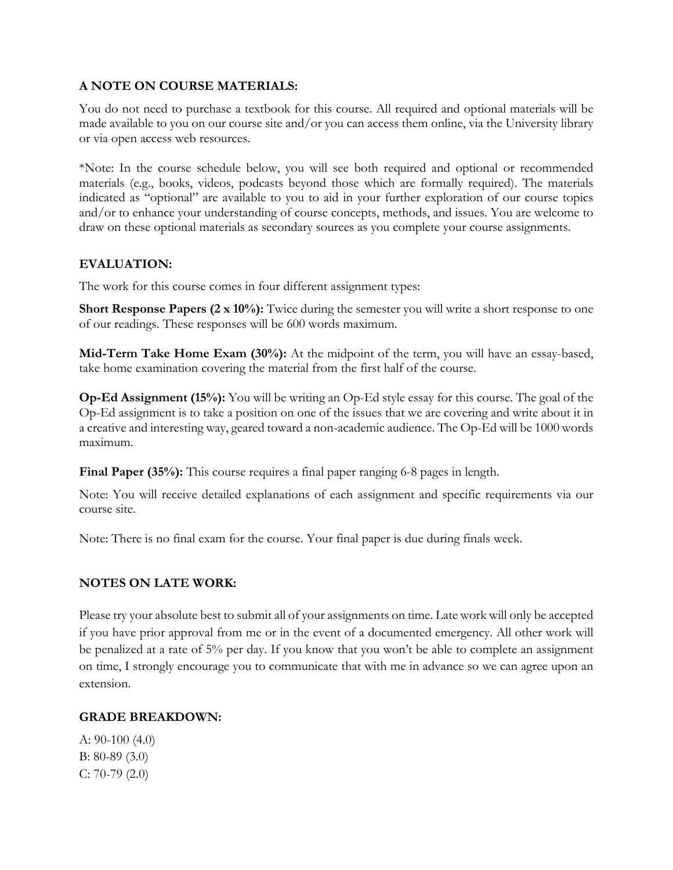## **A NOTE ON COURSE MATERIALS:**

You do not need to purchase a textbook for this course. All required and optional materials will be made available to you on our course site and/or you can access them online, via the University library or via open access web resources.

\*Note: In the course schedule below, you will see both required and optional or recommended materials (e.g., books, videos, podcasts beyond those which are formally required). The materials indicated as "optional" are available to you to aid in your further exploration of our course topics and/or to enhance your understanding of course concepts, methods, and issues. You are welcome to draw on these optional materials as secondary sources as you complete your course assignments.

## **EVALUATION:**

The work for this course comes in four different assignment types:

**Short Response Papers (2 x 10%):** Twice during the semester you will write a short response to one of our readings. These responses will be 600 words maximum.

**Mid-Term Take Home Exam (30%):** At the midpoint of the term, you will have an essay-based, take home examination covering the material from the first half of the course.

**Op-Ed Assignment (15%):** You will be writing an Op-Ed style essay for this course. The goal of the Op-Ed assignment is to take a position on one of the issues that we are covering and write about it in a creative and interesting way, geared toward a non-academic audience. The Op-Ed will be 1000 words maximum.

**Final Paper (35%):** This course requires a final paper ranging 6-8 pages in length.

Note: You will receive detailed explanations of each assignment and specific requirements via our course site.

Note: There is no final exam for the course. Your final paper is due during finals week.

### **NOTES ON LATE WORK:**

Please try your absolute best to submit all of your assignments on time. Late work will only be accepted if you have prior approval from me or in the event of a documented emergency. All other work will be penalized at a rate of 5% per day. If you know that you won't be able to complete an assignment on time, I strongly encourage you to communicate that with me in advance so we can agree upon an extension.

### **GRADE BREAKDOWN:**

A: 90-100 (4.0) B: 80-89 (3.0) C: 70-79 (2.0)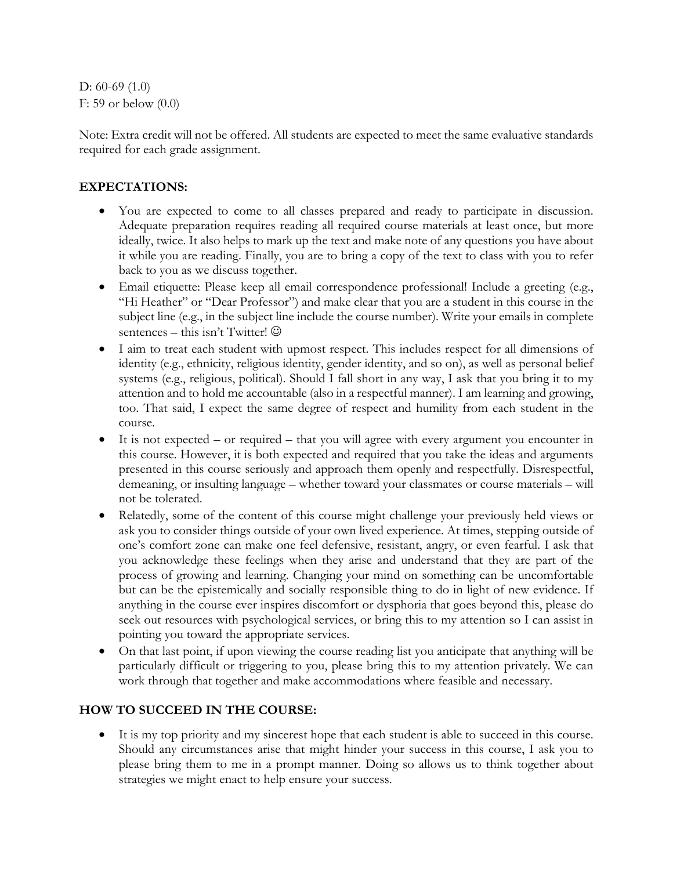D: 60-69 (1.0) F: 59 or below (0.0)

Note: Extra credit will not be offered. All students are expected to meet the same evaluative standards required for each grade assignment.

## **EXPECTATIONS:**

- You are expected to come to all classes prepared and ready to participate in discussion. Adequate preparation requires reading all required course materials at least once, but more ideally, twice. It also helps to mark up the text and make note of any questions you have about it while you are reading. Finally, you are to bring a copy of the text to class with you to refer back to you as we discuss together.
- Email etiquette: Please keep all email correspondence professional! Include a greeting (e.g., "Hi Heather" or "Dear Professor") and make clear that you are a student in this course in the subject line (e.g., in the subject line include the course number). Write your emails in complete sentences – this isn't Twitter!  $\odot$
- I aim to treat each student with upmost respect. This includes respect for all dimensions of identity (e.g., ethnicity, religious identity, gender identity, and so on), as well as personal belief systems (e.g., religious, political). Should I fall short in any way, I ask that you bring it to my attention and to hold me accountable (also in a respectful manner). I am learning and growing, too. That said, I expect the same degree of respect and humility from each student in the course.
- It is not expected or required that you will agree with every argument you encounter in this course. However, it is both expected and required that you take the ideas and arguments presented in this course seriously and approach them openly and respectfully. Disrespectful, demeaning, or insulting language – whether toward your classmates or course materials – will not be tolerated.
- Relatedly, some of the content of this course might challenge your previously held views or ask you to consider things outside of your own lived experience. At times, stepping outside of one's comfort zone can make one feel defensive, resistant, angry, or even fearful. I ask that you acknowledge these feelings when they arise and understand that they are part of the process of growing and learning. Changing your mind on something can be uncomfortable but can be the epistemically and socially responsible thing to do in light of new evidence. If anything in the course ever inspires discomfort or dysphoria that goes beyond this, please do seek out resources with psychological services, or bring this to my attention so I can assist in pointing you toward the appropriate services.
- On that last point, if upon viewing the course reading list you anticipate that anything will be particularly difficult or triggering to you, please bring this to my attention privately. We can work through that together and make accommodations where feasible and necessary.

## **HOW TO SUCCEED IN THE COURSE:**

• It is my top priority and my sincerest hope that each student is able to succeed in this course. Should any circumstances arise that might hinder your success in this course, I ask you to please bring them to me in a prompt manner. Doing so allows us to think together about strategies we might enact to help ensure your success.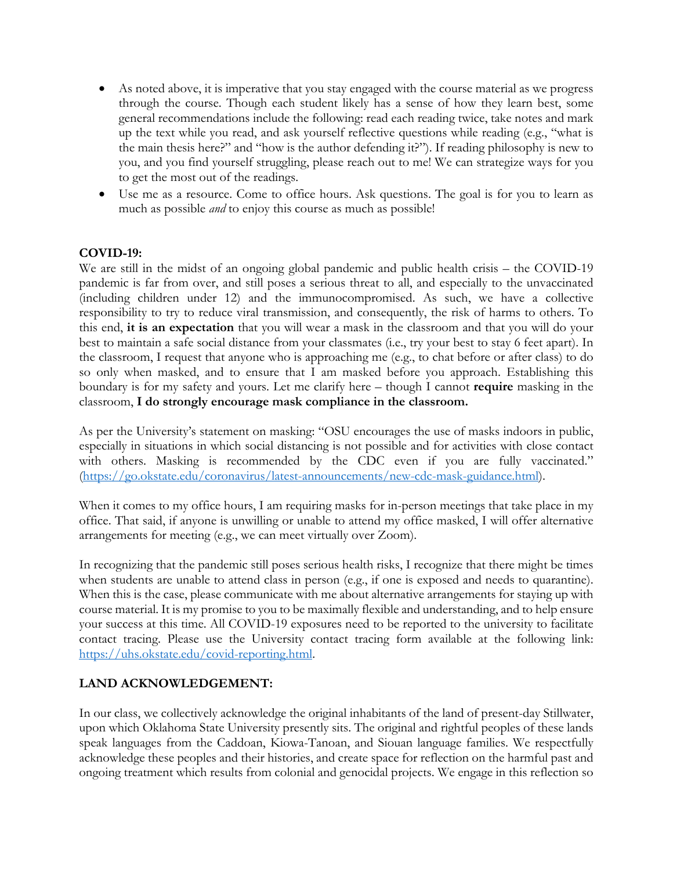- As noted above, it is imperative that you stay engaged with the course material as we progress through the course. Though each student likely has a sense of how they learn best, some general recommendations include the following: read each reading twice, take notes and mark up the text while you read, and ask yourself reflective questions while reading (e.g., "what is the main thesis here?" and "how is the author defending it?"). If reading philosophy is new to you, and you find yourself struggling, please reach out to me! We can strategize ways for you to get the most out of the readings.
- Use me as a resource. Come to office hours. Ask questions. The goal is for you to learn as much as possible *and* to enjoy this course as much as possible!

## **COVID-19:**

We are still in the midst of an ongoing global pandemic and public health crisis – the COVID-19 pandemic is far from over, and still poses a serious threat to all, and especially to the unvaccinated (including children under 12) and the immunocompromised. As such, we have a collective responsibility to try to reduce viral transmission, and consequently, the risk of harms to others. To this end, **it is an expectation** that you will wear a mask in the classroom and that you will do your best to maintain a safe social distance from your classmates (i.e., try your best to stay 6 feet apart). In the classroom, I request that anyone who is approaching me (e.g., to chat before or after class) to do so only when masked, and to ensure that I am masked before you approach. Establishing this boundary is for my safety and yours. Let me clarify here – though I cannot **require** masking in the classroom, **I do strongly encourage mask compliance in the classroom.**

As per the University's statement on masking: "OSU encourages the use of masks indoors in public, especially in situations in which social distancing is not possible and for activities with close contact with others. Masking is recommended by the CDC even if you are fully vaccinated." (https://go.okstate.edu/coronavirus/latest-announcements/new-cdc-mask-guidance.html).

When it comes to my office hours, I am requiring masks for in-person meetings that take place in my office. That said, if anyone is unwilling or unable to attend my office masked, I will offer alternative arrangements for meeting (e.g., we can meet virtually over Zoom).

In recognizing that the pandemic still poses serious health risks, I recognize that there might be times when students are unable to attend class in person (e.g., if one is exposed and needs to quarantine). When this is the case, please communicate with me about alternative arrangements for staying up with course material. It is my promise to you to be maximally flexible and understanding, and to help ensure your success at this time. All COVID-19 exposures need to be reported to the university to facilitate contact tracing. Please use the University contact tracing form available at the following link: https://uhs.okstate.edu/covid-reporting.html.

## **LAND ACKNOWLEDGEMENT:**

In our class, we collectively acknowledge the original inhabitants of the land of present-day Stillwater, upon which Oklahoma State University presently sits. The original and rightful peoples of these lands speak languages from the Caddoan, Kiowa-Tanoan, and Siouan language families. We respectfully acknowledge these peoples and their histories, and create space for reflection on the harmful past and ongoing treatment which results from colonial and genocidal projects. We engage in this reflection so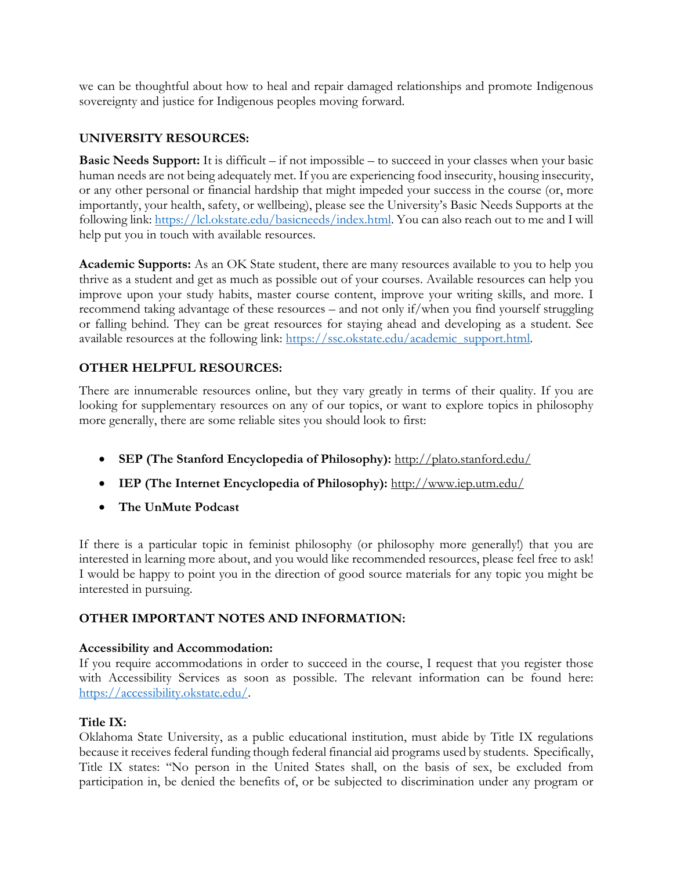we can be thoughtful about how to heal and repair damaged relationships and promote Indigenous sovereignty and justice for Indigenous peoples moving forward.

## **UNIVERSITY RESOURCES:**

**Basic Needs Support:** It is difficult – if not impossible – to succeed in your classes when your basic human needs are not being adequately met. If you are experiencing food insecurity, housing insecurity, or any other personal or financial hardship that might impeded your success in the course (or, more importantly, your health, safety, or wellbeing), please see the University's Basic Needs Supports at the following link: https://lcl.okstate.edu/basicneeds/index.html. You can also reach out to me and I will help put you in touch with available resources.

**Academic Supports:** As an OK State student, there are many resources available to you to help you thrive as a student and get as much as possible out of your courses. Available resources can help you improve upon your study habits, master course content, improve your writing skills, and more. I recommend taking advantage of these resources – and not only if/when you find yourself struggling or falling behind. They can be great resources for staying ahead and developing as a student. See available resources at the following link: https://ssc.okstate.edu/academic\_support.html.

## **OTHER HELPFUL RESOURCES:**

There are innumerable resources online, but they vary greatly in terms of their quality. If you are looking for supplementary resources on any of our topics, or want to explore topics in philosophy more generally, there are some reliable sites you should look to first:

- **SEP (The Stanford Encyclopedia of Philosophy):** http://plato.stanford.edu/
- **IEP (The Internet Encyclopedia of Philosophy):** http://www.iep.utm.edu/
- **The UnMute Podcast**

If there is a particular topic in feminist philosophy (or philosophy more generally!) that you are interested in learning more about, and you would like recommended resources, please feel free to ask! I would be happy to point you in the direction of good source materials for any topic you might be interested in pursuing.

## **OTHER IMPORTANT NOTES AND INFORMATION:**

### **Accessibility and Accommodation:**

If you require accommodations in order to succeed in the course, I request that you register those with Accessibility Services as soon as possible. The relevant information can be found here: https://accessibility.okstate.edu/.

### **Title IX:**

Oklahoma State University, as a public educational institution, must abide by Title IX regulations because it receives federal funding though federal financial aid programs used by students. Specifically, Title IX states: "No person in the United States shall, on the basis of sex, be excluded from participation in, be denied the benefits of, or be subjected to discrimination under any program or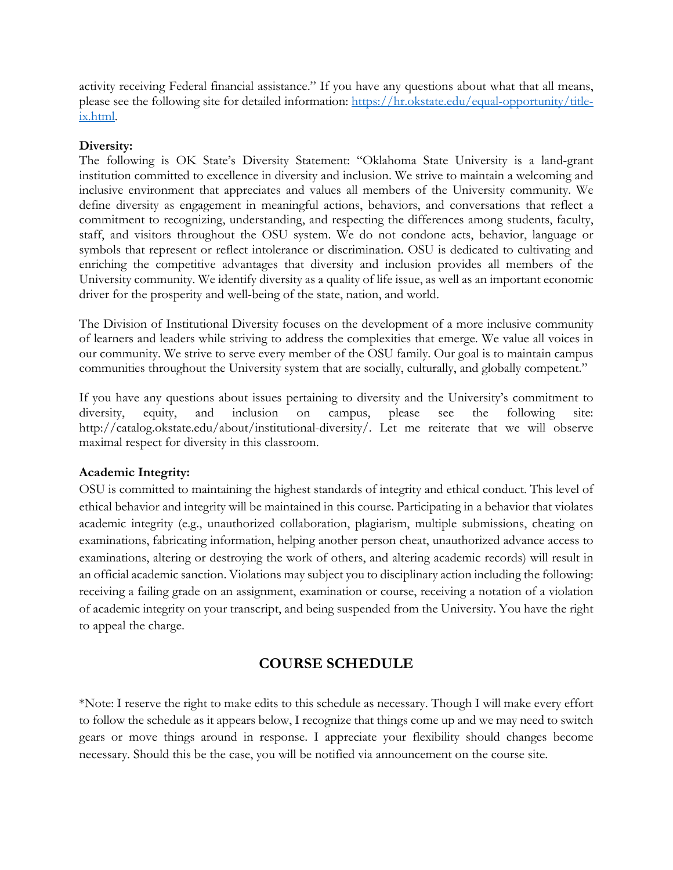activity receiving Federal financial assistance." If you have any questions about what that all means, please see the following site for detailed information: https://hr.okstate.edu/equal-opportunity/titleix.html.

### **Diversity:**

The following is OK State's Diversity Statement: "Oklahoma State University is a land-grant institution committed to excellence in diversity and inclusion. We strive to maintain a welcoming and inclusive environment that appreciates and values all members of the University community. We define diversity as engagement in meaningful actions, behaviors, and conversations that reflect a commitment to recognizing, understanding, and respecting the differences among students, faculty, staff, and visitors throughout the OSU system. We do not condone acts, behavior, language or symbols that represent or reflect intolerance or discrimination. OSU is dedicated to cultivating and enriching the competitive advantages that diversity and inclusion provides all members of the University community. We identify diversity as a quality of life issue, as well as an important economic driver for the prosperity and well-being of the state, nation, and world.

The Division of Institutional Diversity focuses on the development of a more inclusive community of learners and leaders while striving to address the complexities that emerge. We value all voices in our community. We strive to serve every member of the OSU family. Our goal is to maintain campus communities throughout the University system that are socially, culturally, and globally competent."

If you have any questions about issues pertaining to diversity and the University's commitment to diversity, equity, and inclusion on campus, please see the following site: http://catalog.okstate.edu/about/institutional-diversity/. Let me reiterate that we will observe maximal respect for diversity in this classroom.

## **Academic Integrity:**

OSU is committed to maintaining the highest standards of integrity and ethical conduct. This level of ethical behavior and integrity will be maintained in this course. Participating in a behavior that violates academic integrity (e.g., unauthorized collaboration, plagiarism, multiple submissions, cheating on examinations, fabricating information, helping another person cheat, unauthorized advance access to examinations, altering or destroying the work of others, and altering academic records) will result in an official academic sanction. Violations may subject you to disciplinary action including the following: receiving a failing grade on an assignment, examination or course, receiving a notation of a violation of academic integrity on your transcript, and being suspended from the University. You have the right to appeal the charge.

# **COURSE SCHEDULE**

\*Note: I reserve the right to make edits to this schedule as necessary. Though I will make every effort to follow the schedule as it appears below, I recognize that things come up and we may need to switch gears or move things around in response. I appreciate your flexibility should changes become necessary. Should this be the case, you will be notified via announcement on the course site.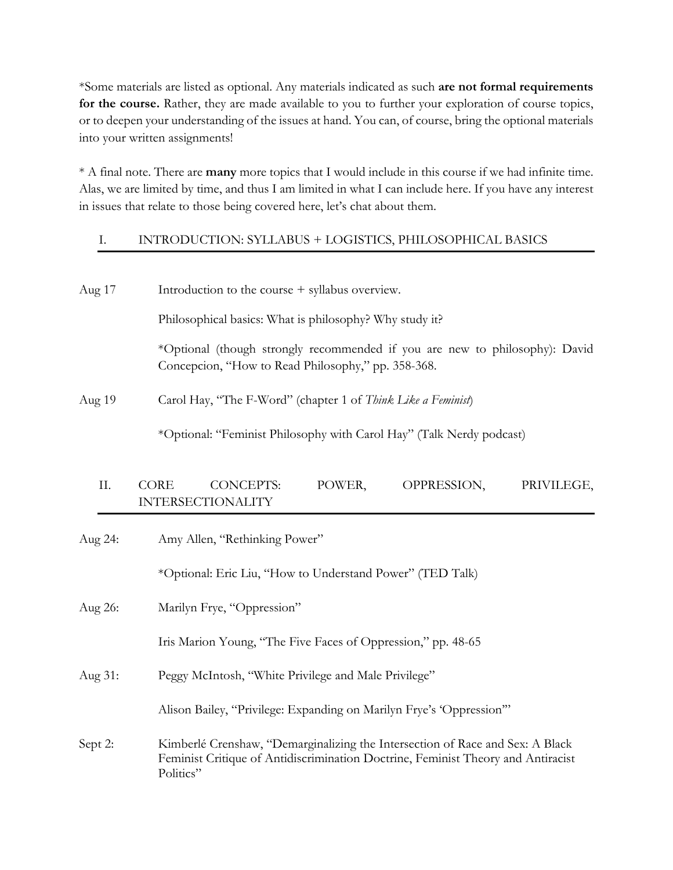\*Some materials are listed as optional. Any materials indicated as such **are not formal requirements for the course.** Rather, they are made available to you to further your exploration of course topics, or to deepen your understanding of the issues at hand. You can, of course, bring the optional materials into your written assignments!

\* A final note. There are **many** more topics that I would include in this course if we had infinite time. Alas, we are limited by time, and thus I am limited in what I can include here. If you have any interest in issues that relate to those being covered here, let's chat about them.

## I. INTRODUCTION: SYLLABUS + LOGISTICS, PHILOSOPHICAL BASICS

| Aug 17  | Introduction to the course + syllabus overview.                                                                                   |
|---------|-----------------------------------------------------------------------------------------------------------------------------------|
|         | Philosophical basics: What is philosophy? Why study it?                                                                           |
|         | *Optional (though strongly recommended if you are new to philosophy): David<br>Concepcion, "How to Read Philosophy," pp. 358-368. |
| Aug 19  | Carol Hay, "The F-Word" (chapter 1 of Think Like a Feminist)                                                                      |
|         | *Optional: "Feminist Philosophy with Carol Hay" (Talk Nerdy podcast)                                                              |
| II.     | CORE<br><b>CONCEPTS:</b><br>POWER,<br>OPPRESSION,<br>PRIVILEGE,<br><b>INTERSECTIONALITY</b>                                       |
| Aug 24: | Amy Allen, "Rethinking Power"                                                                                                     |
|         | *Optional: Eric Liu, "How to Understand Power" (TED Talk)                                                                         |
| Aug 26: | Marilyn Frye, "Oppression"                                                                                                        |
|         | Iris Marion Young, "The Five Faces of Oppression," pp. 48-65                                                                      |
| Aug 31: | Peggy McIntosh, "White Privilege and Male Privilege"                                                                              |
|         | Alison Bailey, "Privilege: Expanding on Marilyn Frye's 'Oppression"                                                               |

Sept 2: Kimberlé Crenshaw, "Demarginalizing the Intersection of Race and Sex: A Black Feminist Critique of Antidiscrimination Doctrine, Feminist Theory and Antiracist Politics"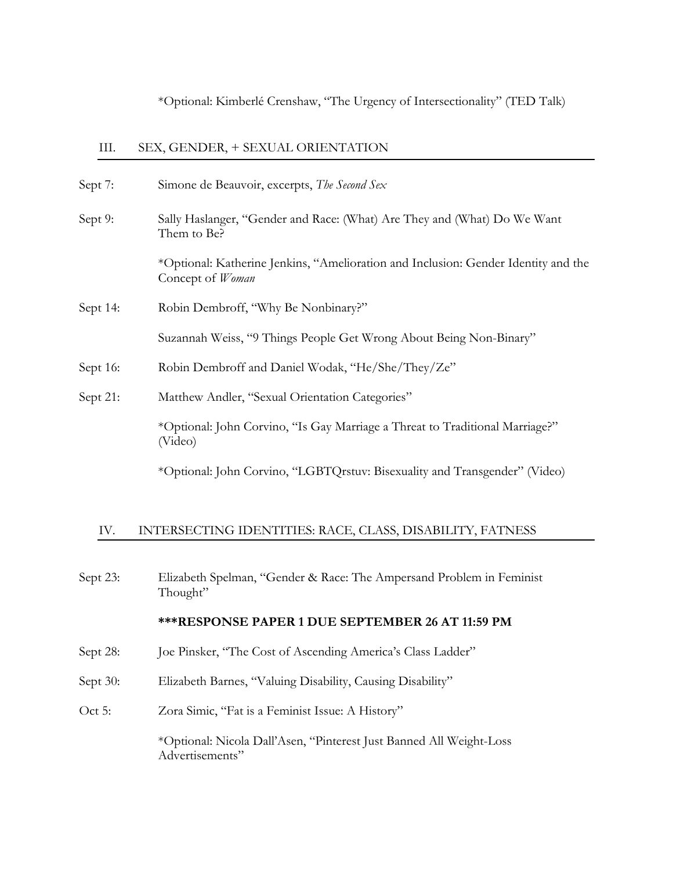\*Optional: Kimberlé Crenshaw, "The Urgency of Intersectionality" (TED Talk)

### III. SEX, GENDER, + SEXUAL ORIENTATION

| Sept 7:  | Simone de Beauvoir, excerpts, The Second Sex                                                           |
|----------|--------------------------------------------------------------------------------------------------------|
| Sept 9:  | Sally Haslanger, "Gender and Race: (What) Are They and (What) Do We Want<br>Them to Be?                |
|          | *Optional: Katherine Jenkins, "Amelioration and Inclusion: Gender Identity and the<br>Concept of Woman |
| Sept 14: | Robin Dembroff, "Why Be Nonbinary?"                                                                    |
|          | Suzannah Weiss, "9 Things People Get Wrong About Being Non-Binary"                                     |
| Sept 16: | Robin Dembroff and Daniel Wodak, "He/She/They/Ze"                                                      |
| Sept 21: | Matthew Andler, "Sexual Orientation Categories"                                                        |
|          | *Optional: John Corvino, "Is Gay Marriage a Threat to Traditional Marriage?"<br>(Video)                |
|          | *Optional: John Corvino, "LGBTQrstuv: Bisexuality and Transgender" (Video)                             |

#### IV. INTERSECTING IDENTITIES: RACE, CLASS, DISABILITY, FATNESS

Sept 23: Elizabeth Spelman, "Gender & Race: The Ampersand Problem in Feminist Thought"

#### **\*\*\*RESPONSE PAPER 1 DUE SEPTEMBER 26 AT 11:59 PM**

- Sept 28: Joe Pinsker, "The Cost of Ascending America's Class Ladder"
- Sept 30: Elizabeth Barnes, "Valuing Disability, Causing Disability"
- Oct 5: Zora Simic, "Fat is a Feminist Issue: A History"

\*Optional: Nicola Dall'Asen, "Pinterest Just Banned All Weight-Loss Advertisements"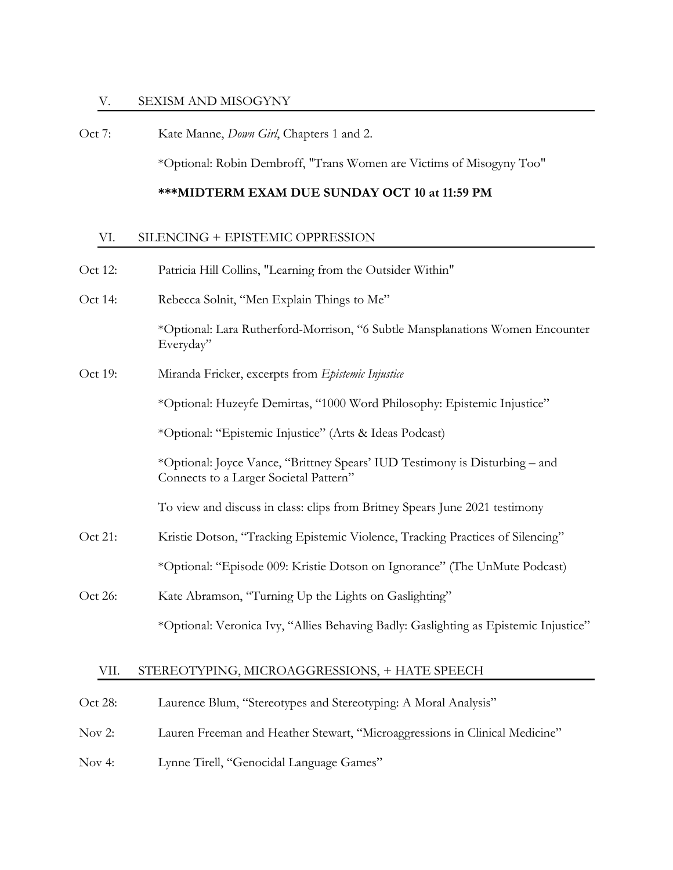#### V. SEXISM AND MISOGYNY

Oct 7: Kate Manne, *Down Girl*, Chapters 1 and 2.

\*Optional: Robin Dembroff, "Trans Women are Victims of Misogyny Too"

### **\*\*\*MIDTERM EXAM DUE SUNDAY OCT 10 at 11:59 PM**

#### VI. SILENCING + EPISTEMIC OPPRESSION

Oct 12: Patricia Hill Collins, "Learning from the Outsider Within" Oct 14: Rebecca Solnit, "Men Explain Things to Me" \*Optional: Lara Rutherford-Morrison, "6 Subtle Mansplanations Women Encounter Everyday" Oct 19: Miranda Fricker, excerpts from *Epistemic Injustice* \*Optional: Huzeyfe Demirtas, "1000 Word Philosophy: Epistemic Injustice" \*Optional: "Epistemic Injustice" (Arts & Ideas Podcast) \*Optional: Joyce Vance, "Brittney Spears' IUD Testimony is Disturbing – and Connects to a Larger Societal Pattern" To view and discuss in class: clips from Britney Spears June 2021 testimony Oct 21: Kristie Dotson, "Tracking Epistemic Violence, Tracking Practices of Silencing" \*Optional: "Episode 009: Kristie Dotson on Ignorance" (The UnMute Podcast) Oct 26: Kate Abramson, "Turning Up the Lights on Gaslighting" \*Optional: Veronica Ivy, "Allies Behaving Badly: Gaslighting as Epistemic Injustice"

#### VII. STEREOTYPING, MICROAGGRESSIONS, + HATE SPEECH

- Oct 28: Laurence Blum, "Stereotypes and Stereotyping: A Moral Analysis"
- Nov 2: Lauren Freeman and Heather Stewart, "Microaggressions in Clinical Medicine"
- Nov 4: Lynne Tirell, "Genocidal Language Games"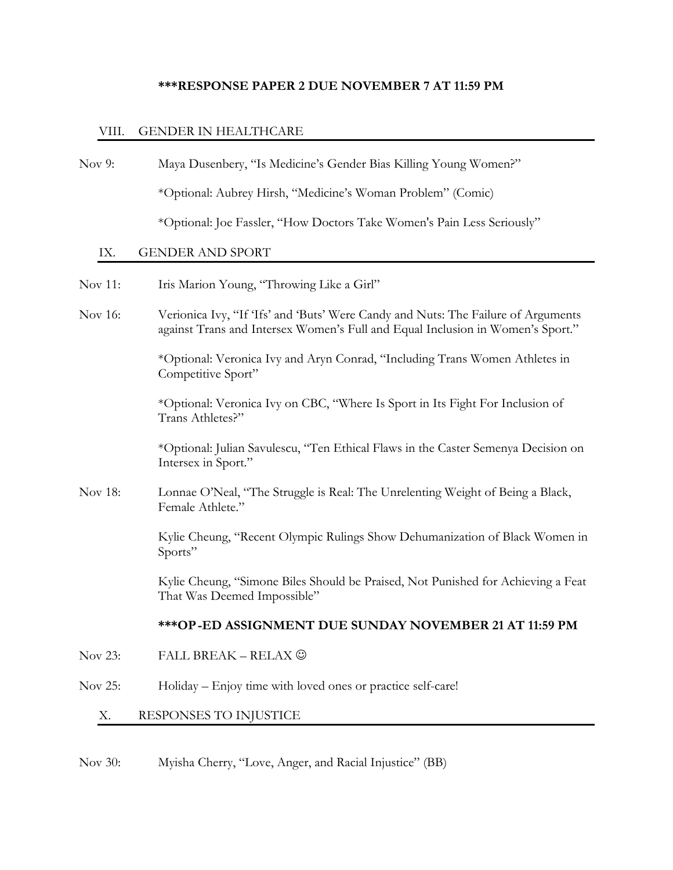## **\*\*\*RESPONSE PAPER 2 DUE NOVEMBER 7 AT 11:59 PM**

## VIII. GENDER IN HEALTHCARE

| Nov $9:$ | Maya Dusenbery, "Is Medicine's Gender Bias Killing Young Women?"                                                                                                    |
|----------|---------------------------------------------------------------------------------------------------------------------------------------------------------------------|
|          | *Optional: Aubrey Hirsh, "Medicine's Woman Problem" (Comic)                                                                                                         |
|          | *Optional: Joe Fassler, "How Doctors Take Women's Pain Less Seriously"                                                                                              |
| IX.      | <b>GENDER AND SPORT</b>                                                                                                                                             |
| Nov 11:  | Iris Marion Young, "Throwing Like a Girl"                                                                                                                           |
| Nov 16:  | Verionica Ivy, "If 'Ifs' and 'Buts' Were Candy and Nuts: The Failure of Arguments<br>against Trans and Intersex Women's Full and Equal Inclusion in Women's Sport." |
|          | *Optional: Veronica Ivy and Aryn Conrad, "Including Trans Women Athletes in<br>Competitive Sport"                                                                   |
|          | *Optional: Veronica Ivy on CBC, "Where Is Sport in Its Fight For Inclusion of<br>Trans Athletes?"                                                                   |
|          | *Optional: Julian Savulescu, "Ten Ethical Flaws in the Caster Semenya Decision on<br>Intersex in Sport."                                                            |
| Nov 18:  | Lonnae O'Neal, "The Struggle is Real: The Unrelenting Weight of Being a Black,<br>Female Athlete."                                                                  |
|          | Kylie Cheung, "Recent Olympic Rulings Show Dehumanization of Black Women in<br>Sports"                                                                              |
|          | Kylie Cheung, "Simone Biles Should be Praised, Not Punished for Achieving a Feat<br>That Was Deemed Impossible"                                                     |
|          | *** OP-ED ASSIGNMENT DUE SUNDAY NOVEMBER 21 AT 11:59 PM                                                                                                             |
| Nov 23:  | FALL BREAK – RELAX $\copyright$                                                                                                                                     |
| Nov 25:  | Holiday - Enjoy time with loved ones or practice self-care!                                                                                                         |
| Х.       | RESPONSES TO INJUSTICE                                                                                                                                              |
|          |                                                                                                                                                                     |

Nov 30: Myisha Cherry, "Love, Anger, and Racial Injustice" (BB)